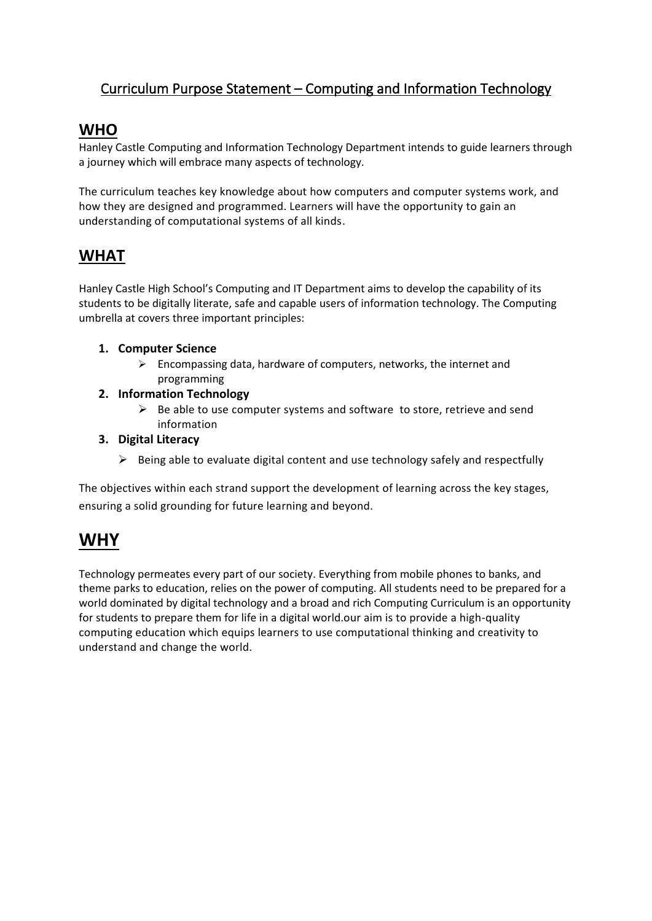## Curriculum Purpose Statement – Computing and Information Technology

## **WHO**

Hanley Castle Computing and Information Technology Department intends to guide learners through a journey which will embrace many aspects of technology.

The curriculum teaches key knowledge about how computers and computer systems work, and how they are designed and programmed. Learners will have the opportunity to gain an understanding of computational systems of all kinds.

## **WHAT**

Hanley Castle High School's Computing and IT Department aims to develop the capability of its students to be digitally literate, safe and capable users of information technology. The Computing umbrella at covers three important principles:

#### **1. Computer Science**

 $\triangleright$  Encompassing data, hardware of computers, networks, the internet and programming

#### **2. Information Technology**

 $\triangleright$  Be able to use computer systems and software to store, retrieve and send information

#### **3. Digital Literacy**

 $\triangleright$  Being able to evaluate digital content and use technology safely and respectfully

The objectives within each strand support the development of learning across the key stages, ensuring a solid grounding for future learning and beyond.

# **WHY**

Technology permeates every part of our society. Everything from mobile phones to banks, and theme parks to education, relies on the power of computing. All students need to be prepared for a world dominated by digital technology and a broad and rich Computing Curriculum is an opportunity for students to prepare them for life in a digital world.our aim is to provide a high-quality computing education which equips learners to use computational thinking and creativity to understand and change the world.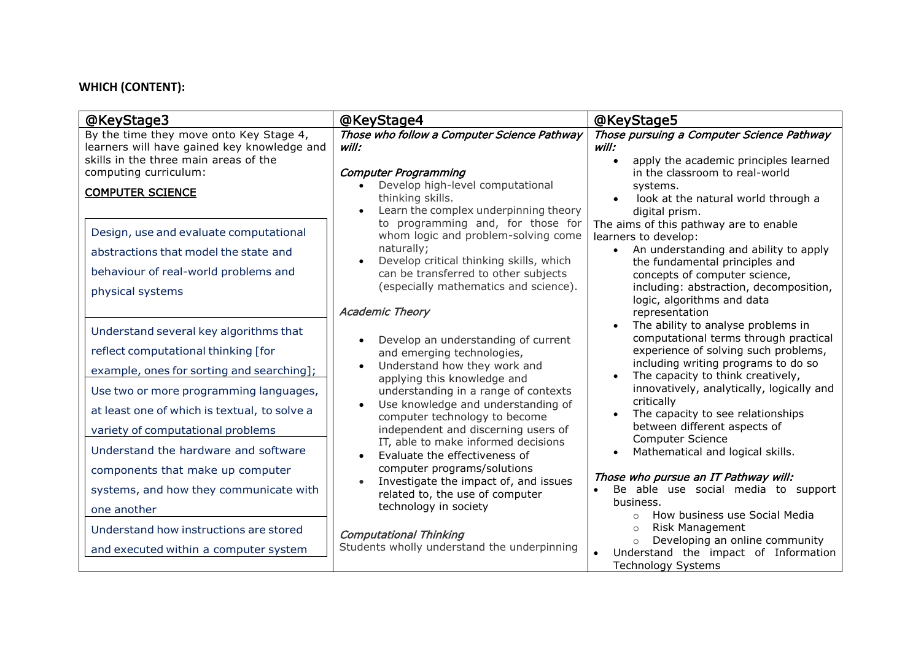### **WHICH (CONTENT):**

| @KeyStage3                                                                                                                                                                                                                                                                                        | @KeyStage4                                                                                                                                                                                                                                                                                                                                                                                    | @KeyStage5                                                                                                                                                                                                                                                                                                                                                                                                                            |
|---------------------------------------------------------------------------------------------------------------------------------------------------------------------------------------------------------------------------------------------------------------------------------------------------|-----------------------------------------------------------------------------------------------------------------------------------------------------------------------------------------------------------------------------------------------------------------------------------------------------------------------------------------------------------------------------------------------|---------------------------------------------------------------------------------------------------------------------------------------------------------------------------------------------------------------------------------------------------------------------------------------------------------------------------------------------------------------------------------------------------------------------------------------|
| By the time they move onto Key Stage 4,<br>learners will have gained key knowledge and<br>skills in the three main areas of the<br>computing curriculum:<br><b>COMPUTER SCIENCE</b>                                                                                                               | Those who follow a Computer Science Pathway<br>will:<br><b>Computer Programming</b><br>Develop high-level computational<br>thinking skills.<br>Learn the complex underpinning theory                                                                                                                                                                                                          | Those pursuing a Computer Science Pathway<br>will:<br>apply the academic principles learned<br>in the classroom to real-world<br>systems.<br>look at the natural world through a<br>digital prism.                                                                                                                                                                                                                                    |
| Design, use and evaluate computational<br>abstractions that model the state and<br>behaviour of real-world problems and<br>physical systems                                                                                                                                                       | to programming and, for those for<br>whom logic and problem-solving come<br>naturally;<br>Develop critical thinking skills, which<br>can be transferred to other subjects<br>(especially mathematics and science).<br><b>Academic Theory</b>                                                                                                                                                  | The aims of this pathway are to enable<br>learners to develop:<br>An understanding and ability to apply<br>$\bullet$<br>the fundamental principles and<br>concepts of computer science,<br>including: abstraction, decomposition,<br>logic, algorithms and data<br>representation                                                                                                                                                     |
| Understand several key algorithms that<br>reflect computational thinking [for<br>example, ones for sorting and searching];<br>Use two or more programming languages,<br>at least one of which is textual, to solve a<br>variety of computational problems<br>Understand the hardware and software | Develop an understanding of current<br>and emerging technologies,<br>Understand how they work and<br>applying this knowledge and<br>understanding in a range of contexts<br>Use knowledge and understanding of<br>computer technology to become<br>independent and discerning users of<br>IT, able to make informed decisions<br>Evaluate the effectiveness of<br>computer programs/solutions | The ability to analyse problems in<br>computational terms through practical<br>experience of solving such problems,<br>including writing programs to do so<br>The capacity to think creatively,<br>$\bullet$<br>innovatively, analytically, logically and<br>critically<br>The capacity to see relationships<br>$\bullet$<br>between different aspects of<br><b>Computer Science</b><br>Mathematical and logical skills.<br>$\bullet$ |
| components that make up computer<br>systems, and how they communicate with<br>one another<br>Understand how instructions are stored<br>and executed within a computer system                                                                                                                      | Investigate the impact of, and issues<br>related to, the use of computer<br>technology in society<br><b>Computational Thinking</b><br>Students wholly understand the underpinning                                                                                                                                                                                                             | Those who pursue an IT Pathway will:<br>Be able use social media to support<br>$\bullet$<br>business.<br>How business use Social Media<br>$\bigcap$<br><b>Risk Management</b><br>$\circ$<br>Developing an online community<br>$\circ$<br>Understand the impact of Information<br><b>Technology Systems</b>                                                                                                                            |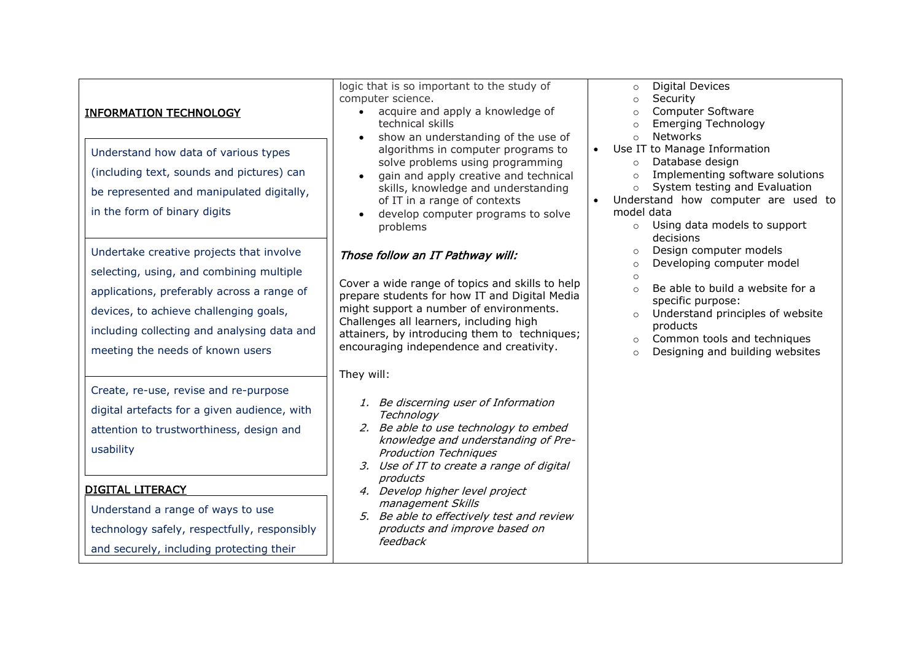| <u>INFORMATION TECHNOLOGY</u><br>Understand how data of various types<br>(including text, sounds and pictures) can<br>be represented and manipulated digitally,                                                                                                 | logic that is so important to the study of<br>computer science.<br>acquire and apply a knowledge of<br>$\bullet$<br>technical skills<br>show an understanding of the use of<br>algorithms in computer programs to<br>solve problems using programming<br>gain and apply creative and technical<br>skills, knowledge and understanding<br>of IT in a range of contexts | <b>Digital Devices</b><br>$\circ$<br>Security<br>$\circ$<br>Computer Software<br><b>Emerging Technology</b><br>$\circ$<br><b>Networks</b><br>$\circ$<br>Use IT to Manage Information<br>$\bullet$<br>Database design<br>$\circ$<br>Implementing software solutions<br>$\circ$<br>System testing and Evaluation<br>$\circ$<br>Understand how computer are used to |  |
|-----------------------------------------------------------------------------------------------------------------------------------------------------------------------------------------------------------------------------------------------------------------|-----------------------------------------------------------------------------------------------------------------------------------------------------------------------------------------------------------------------------------------------------------------------------------------------------------------------------------------------------------------------|------------------------------------------------------------------------------------------------------------------------------------------------------------------------------------------------------------------------------------------------------------------------------------------------------------------------------------------------------------------|--|
| in the form of binary digits                                                                                                                                                                                                                                    | develop computer programs to solve<br>problems                                                                                                                                                                                                                                                                                                                        | model data<br>Using data models to support<br>$\circ$<br>decisions                                                                                                                                                                                                                                                                                               |  |
| Undertake creative projects that involve<br>selecting, using, and combining multiple<br>applications, preferably across a range of<br>devices, to achieve challenging goals,<br>including collecting and analysing data and<br>meeting the needs of known users | Those follow an IT Pathway will:<br>Cover a wide range of topics and skills to help<br>prepare students for how IT and Digital Media<br>might support a number of environments.<br>Challenges all learners, including high<br>attainers, by introducing them to techniques;<br>encouraging independence and creativity.                                               | Design computer models<br>$\circ$<br>Developing computer model<br>$\circ$<br>$\circ$<br>Be able to build a website for a<br>$\Omega$<br>specific purpose:<br>Understand principles of website<br>products<br>Common tools and techniques<br>$\circ$<br>Designing and building websites<br>$\Omega$                                                               |  |
| Create, re-use, revise and re-purpose<br>digital artefacts for a given audience, with<br>attention to trustworthiness, design and<br>usability<br><b>DIGITAL LITERACY</b>                                                                                       | They will:<br>1. Be discerning user of Information<br>Technology<br>2. Be able to use technology to embed<br>knowledge and understanding of Pre-<br><b>Production Techniques</b><br>3. Use of IT to create a range of digital<br>products                                                                                                                             |                                                                                                                                                                                                                                                                                                                                                                  |  |
| Understand a range of ways to use<br>technology safely, respectfully, responsibly<br>and securely, including protecting their                                                                                                                                   | 4. Develop higher level project<br>management Skills<br>5. Be able to effectively test and review<br>products and improve based on<br>feedback                                                                                                                                                                                                                        |                                                                                                                                                                                                                                                                                                                                                                  |  |